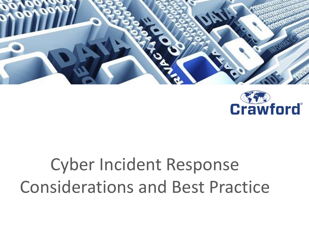



# Cyber Incident Response Considerations and Best Practice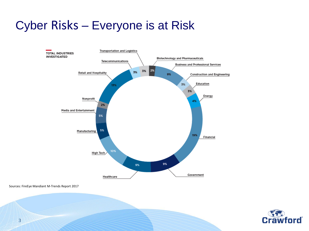## Cyber Risks – Everyone is at Risk



Sources: FireEye Mandiant M-Trends Report 2017



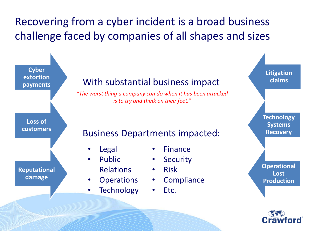## Recovering from a cyber incident is a broad business challenge faced by companies of all shapes and sizes

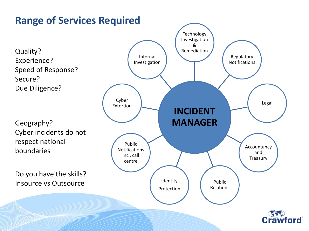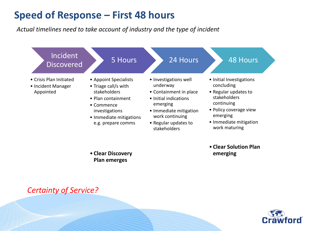#### **Speed of Response – First 48 hours**

*Actual timelines need to take account of industry and the type of incident*

| Incident<br><b>Discovered</b>                              | 5 Hours                                                                                                                                                              | 24 Hours                                                                                                                                                                              | <b>48 Hours</b>                                                                                                                                                               |
|------------------------------------------------------------|----------------------------------------------------------------------------------------------------------------------------------------------------------------------|---------------------------------------------------------------------------------------------------------------------------------------------------------------------------------------|-------------------------------------------------------------------------------------------------------------------------------------------------------------------------------|
| • Crisis Plan Initiated<br>• Incident Manager<br>Appointed | • Appoint Specialists<br>• Triage call/s with<br>stakeholders<br>• Plan containment<br>• Commence<br>investigations<br>• Immediate mitigations<br>e.g. prepare comms | • Investigations well<br>underway<br>• Containment in place<br>• Initial indications<br>emerging<br>• Immediate mitigation<br>work continuing<br>• Regular updates to<br>stakeholders | • Initial Investigations<br>concluding<br>• Regular updates to<br>stakeholders<br>continuing<br>• Policy coverage view<br>emerging<br>• Immediate mitigation<br>work maturing |

• **Clear Discovery Plan emerges** 

• **Clear Solution Plan emerging**



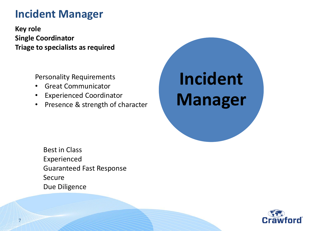### **Incident Manager**

**Key role Single Coordinator Triage to specialists as required**

Personality Requirements

- Great Communicator
- Experienced Coordinator
- Presence & strength of character



Best in Class Experienced Guaranteed Fast Response Secure Due Diligence

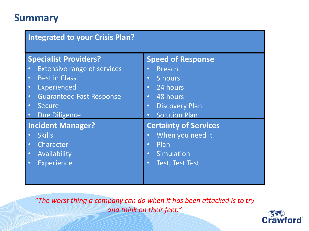#### **Summary**

| <b>Integrated to your Crisis Plan?</b> |                               |  |  |  |
|----------------------------------------|-------------------------------|--|--|--|
| <b>Specialist Providers?</b>           | <b>Speed of Response</b>      |  |  |  |
| <b>Extensive range of services</b>     | <b>Breach</b><br>$\bullet$    |  |  |  |
| <b>Best in Class</b>                   | 5 hours                       |  |  |  |
| $\bullet$                              | $\bullet$                     |  |  |  |
| Experienced                            | 24 hours                      |  |  |  |
| $\bullet$                              | $\bullet$                     |  |  |  |
| <b>Guaranteed Fast Response</b>        | 48 hours                      |  |  |  |
| $\bullet$                              | $\bullet$                     |  |  |  |
| <b>Secure</b>                          | <b>Discovery Plan</b>         |  |  |  |
| $\bullet$                              | $\bullet$                     |  |  |  |
| <b>Due Diligence</b>                   | <b>Solution Plan</b>          |  |  |  |
| $\bullet$                              | $\bullet$                     |  |  |  |
| <b>Incident Manager?</b>               | <b>Certainty of Services</b>  |  |  |  |
| <b>Skills</b>                          | When you need it<br>$\bullet$ |  |  |  |
| Character                              | Plan                          |  |  |  |
| $\bullet$                              | $\bullet$                     |  |  |  |
| Availability                           | Simulation                    |  |  |  |
| $\bullet$                              | $\bullet$                     |  |  |  |
| <b>Experience</b>                      | <b>Test, Test Test</b>        |  |  |  |
| $\bullet$                              | $\bullet$                     |  |  |  |
|                                        |                               |  |  |  |
|                                        |                               |  |  |  |

*"The worst thing a company can do when it has been attacked is to try and think on their feet."*